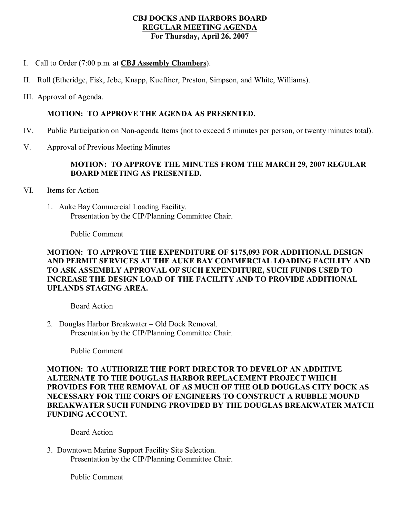#### **CBJ DOCKS AND HARBORS BOARD REGULAR MEETING AGENDA For Thursday, April 26, 2007**

- I. Call to Order (7:00 p.m. at **CBJ Assembly Chambers**).
- II. Roll (Etheridge, Fisk, Jebe, Knapp, Kueffner, Preston, Simpson, and White, Williams).
- III. Approval of Agenda.

### **MOTION: TO APPROVE THE AGENDA AS PRESENTED.**

- IV. Public Participation on Non-agenda Items (not to exceed 5 minutes per person, or twenty minutes total).
- V. Approval of Previous Meeting Minutes

## **MOTION: TO APPROVE THE MINUTES FROM THE MARCH 29, 2007 REGULAR BOARD MEETING AS PRESENTED.**

- VI. Items for Action
	- 1. Auke Bay Commercial Loading Facility. Presentation by the CIP/Planning Committee Chair.

Public Comment

# **MOTION: TO APPROVE THE EXPENDITURE OF \$175,093 FOR ADDITIONAL DESIGN AND PERMIT SERVICES AT THE AUKE BAY COMMERCIAL LOADING FACILITY AND TO ASK ASSEMBLY APPROVAL OF SUCH EXPENDITURE, SUCH FUNDS USED TO INCREASE THE DESIGN LOAD OF THE FACILITY AND TO PROVIDE ADDITIONAL UPLANDS STAGING AREA.**

Board Action

2. Douglas Harbor Breakwater – Old Dock Removal. Presentation by the CIP/Planning Committee Chair.

Public Comment

**MOTION: TO AUTHORIZE THE PORT DIRECTOR TO DEVELOP AN ADDITIVE ALTERNATE TO THE DOUGLAS HARBOR REPLACEMENT PROJECT WHICH PROVIDES FOR THE REMOVAL OF AS MUCH OF THE OLD DOUGLAS CITY DOCK AS NECESSARY FOR THE CORPS OF ENGINEERS TO CONSTRUCT A RUBBLE MOUND BREAKWATER SUCH FUNDING PROVIDED BY THE DOUGLAS BREAKWATER MATCH FUNDING ACCOUNT.**

Board Action

3. Downtown Marine Support Facility Site Selection. Presentation by the CIP/Planning Committee Chair.

Public Comment